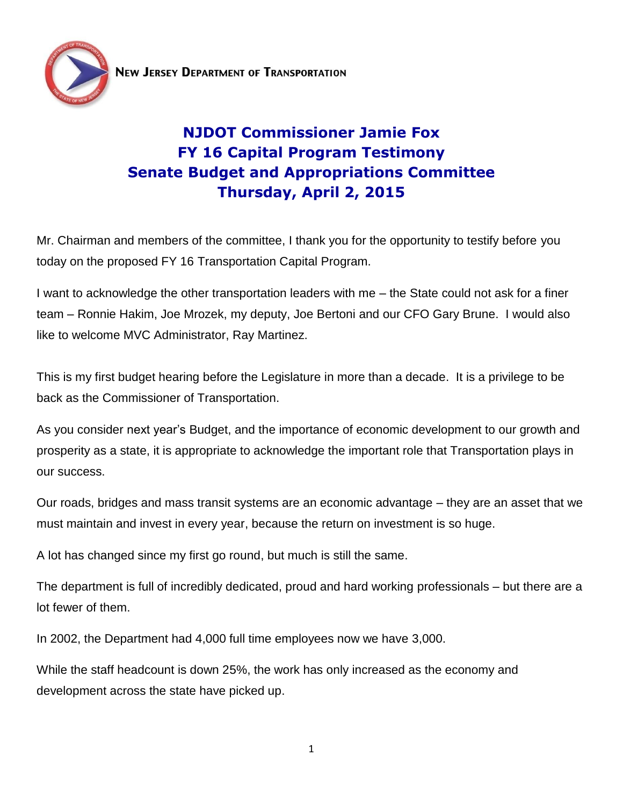

## **NJDOT Commissioner Jamie Fox FY 16 Capital Program Testimony Senate Budget and Appropriations Committee Thursday, April 2, 2015**

Mr. Chairman and members of the committee, I thank you for the opportunity to testify before you today on the proposed FY 16 Transportation Capital Program.

I want to acknowledge the other transportation leaders with me – the State could not ask for a finer team – Ronnie Hakim, Joe Mrozek, my deputy, Joe Bertoni and our CFO Gary Brune. I would also like to welcome MVC Administrator, Ray Martinez.

This is my first budget hearing before the Legislature in more than a decade. It is a privilege to be back as the Commissioner of Transportation.

As you consider next year's Budget, and the importance of economic development to our growth and prosperity as a state, it is appropriate to acknowledge the important role that Transportation plays in our success.

Our roads, bridges and mass transit systems are an economic advantage – they are an asset that we must maintain and invest in every year, because the return on investment is so huge.

A lot has changed since my first go round, but much is still the same.

The department is full of incredibly dedicated, proud and hard working professionals – but there are a lot fewer of them.

In 2002, the Department had 4,000 full time employees now we have 3,000.

While the staff headcount is down 25%, the work has only increased as the economy and development across the state have picked up.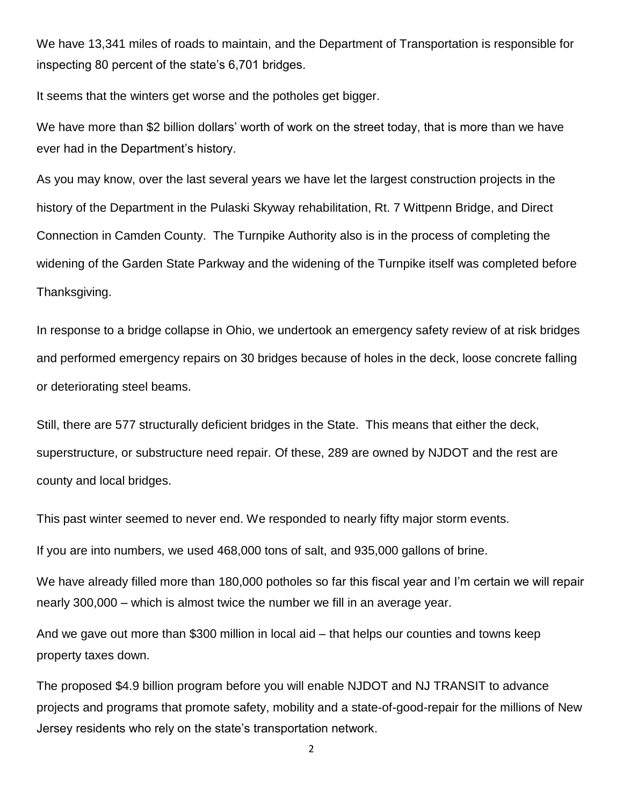We have 13,341 miles of roads to maintain, and the Department of Transportation is responsible for inspecting 80 percent of the state's 6,701 bridges.

It seems that the winters get worse and the potholes get bigger.

We have more than \$2 billion dollars' worth of work on the street today, that is more than we have ever had in the Department's history.

As you may know, over the last several years we have let the largest construction projects in the history of the Department in the Pulaski Skyway rehabilitation, Rt. 7 Wittpenn Bridge, and Direct Connection in Camden County. The Turnpike Authority also is in the process of completing the widening of the Garden State Parkway and the widening of the Turnpike itself was completed before Thanksgiving.

In response to a bridge collapse in Ohio, we undertook an emergency safety review of at risk bridges and performed emergency repairs on 30 bridges because of holes in the deck, loose concrete falling or deteriorating steel beams.

Still, there are 577 structurally deficient bridges in the State. This means that either the deck, superstructure, or substructure need repair. Of these, 289 are owned by NJDOT and the rest are county and local bridges.

This past winter seemed to never end. We responded to nearly fifty major storm events.

If you are into numbers, we used 468,000 tons of salt, and 935,000 gallons of brine.

We have already filled more than 180,000 potholes so far this fiscal year and I'm certain we will repair nearly 300,000 – which is almost twice the number we fill in an average year.

And we gave out more than \$300 million in local aid – that helps our counties and towns keep property taxes down.

The proposed \$4.9 billion program before you will enable NJDOT and NJ TRANSIT to advance projects and programs that promote safety, mobility and a state-of-good-repair for the millions of New Jersey residents who rely on the state's transportation network.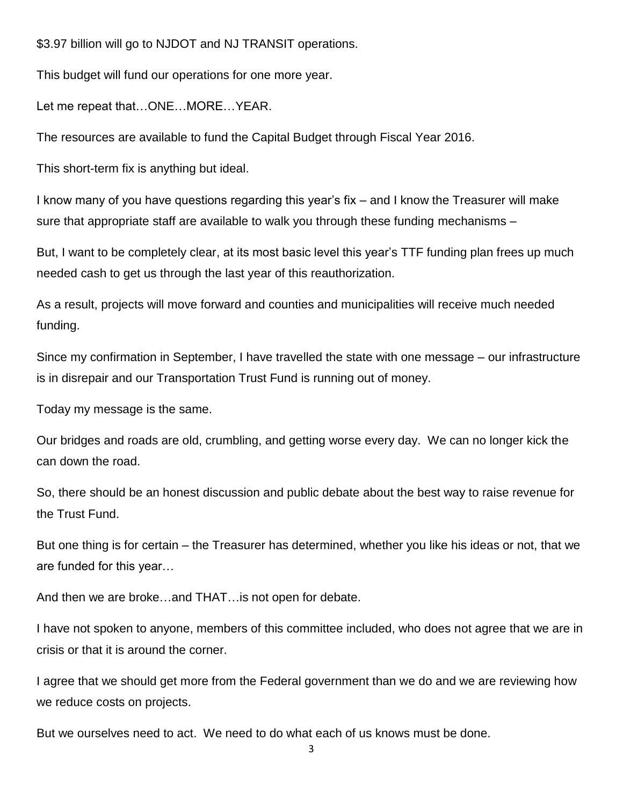\$3.97 billion will go to NJDOT and NJ TRANSIT operations.

This budget will fund our operations for one more year.

Let me repeat that…ONE…MORE…YEAR.

The resources are available to fund the Capital Budget through Fiscal Year 2016.

This short-term fix is anything but ideal.

I know many of you have questions regarding this year's fix – and I know the Treasurer will make sure that appropriate staff are available to walk you through these funding mechanisms –

But, I want to be completely clear, at its most basic level this year's TTF funding plan frees up much needed cash to get us through the last year of this reauthorization.

As a result, projects will move forward and counties and municipalities will receive much needed funding.

Since my confirmation in September, I have travelled the state with one message – our infrastructure is in disrepair and our Transportation Trust Fund is running out of money.

Today my message is the same.

Our bridges and roads are old, crumbling, and getting worse every day. We can no longer kick the can down the road.

So, there should be an honest discussion and public debate about the best way to raise revenue for the Trust Fund.

But one thing is for certain – the Treasurer has determined, whether you like his ideas or not, that we are funded for this year…

And then we are broke…and THAT…is not open for debate.

I have not spoken to anyone, members of this committee included, who does not agree that we are in crisis or that it is around the corner.

I agree that we should get more from the Federal government than we do and we are reviewing how we reduce costs on projects.

But we ourselves need to act. We need to do what each of us knows must be done.